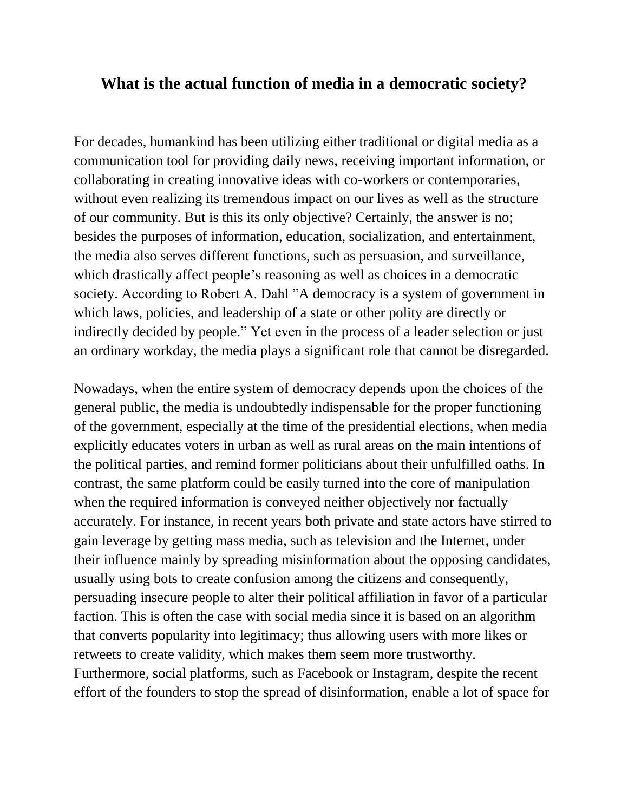## **What is the actual function of media in a democratic society?**

For decades, humankind has been utilizing either traditional or digital media as a communication tool for providing daily news, receiving important information, or collaborating in creating innovative ideas with co-workers or contemporaries, without even realizing its tremendous impact on our lives as well as the structure of our community. But is this its only objective? Certainly, the answer is no; besides the purposes of information, education, socialization, and entertainment, the media also serves different functions, such as persuasion, and surveillance, which drastically affect people's reasoning as well as choices in a democratic society. According to Robert A. Dahl "A democracy is a system of government in which laws, policies, and leadership of a state or other polity are directly or indirectly decided by people." Yet even in the process of a leader selection or just an ordinary workday, the media plays a significant role that cannot be disregarded.

Nowadays, when the entire system of democracy depends upon the choices of the general public, the media is undoubtedly indispensable for the proper functioning of the government, especially at the time of the presidential elections, when media explicitly educates voters in urban as well as rural areas on the main intentions of the political parties, and remind former politicians about their unfulfilled oaths. In contrast, the same platform could be easily turned into the core of manipulation when the required information is conveyed neither objectively nor factually accurately. For instance, in recent years both private and state actors have stirred to gain leverage by getting mass media, such as television and the Internet, under their influence mainly by spreading misinformation about the opposing candidates, usually using bots to create confusion among the citizens and consequently, persuading insecure people to alter their political affiliation in favor of a particular faction. This is often the case with social media since it is based on an algorithm that converts popularity into legitimacy; thus allowing users with more likes or retweets to create validity, which makes them seem more trustworthy. Furthermore, social platforms, such as Facebook or Instagram, despite the recent effort of the founders to stop the spread of disinformation, enable a lot of space for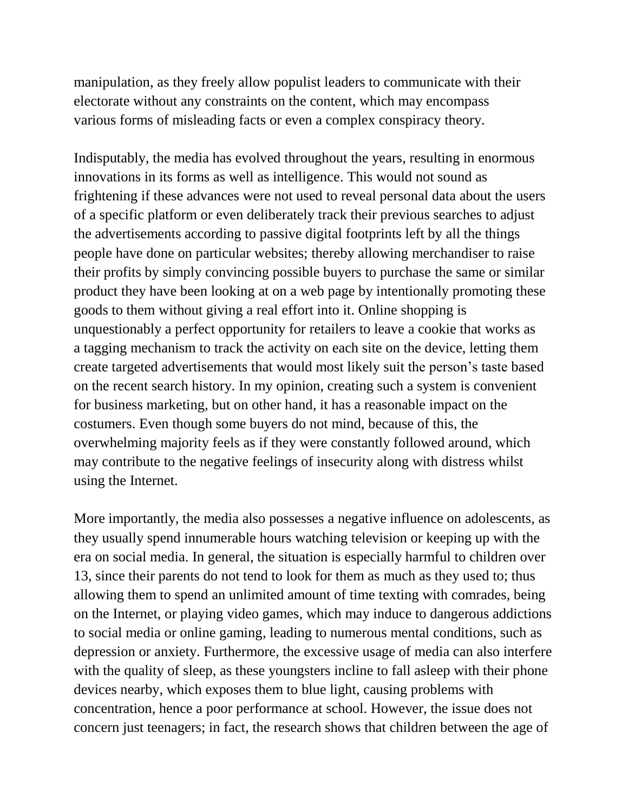manipulation, as they freely allow populist leaders to communicate with their electorate without any constraints on the content, which may encompass various forms of misleading facts or even a complex conspiracy theory.

Indisputably, the media has evolved throughout the years, resulting in enormous innovations in its forms as well as intelligence. This would not sound as frightening if these advances were not used to reveal personal data about the users of a specific platform or even deliberately track their previous searches to adjust the advertisements according to passive digital footprints left by all the things people have done on particular websites; thereby allowing merchandiser to raise their profits by simply convincing possible buyers to purchase the same or similar product they have been looking at on a web page by intentionally promoting these goods to them without giving a real effort into it. Online shopping is unquestionably a perfect opportunity for retailers to leave a cookie that works as a tagging mechanism to track the activity on each site on the device, letting them create targeted advertisements that would most likely suit the person's taste based on the recent search history. In my opinion, creating such a system is convenient for business marketing, but on other hand, it has a reasonable impact on the costumers. Even though some buyers do not mind, because of this, the overwhelming majority feels as if they were constantly followed around, which may contribute to the negative feelings of insecurity along with distress whilst using the Internet.

More importantly, the media also possesses a negative influence on adolescents, as they usually spend innumerable hours watching television or keeping up with the era on social media. In general, the situation is especially harmful to children over 13, since their parents do not tend to look for them as much as they used to; thus allowing them to spend an unlimited amount of time texting with comrades, being on the Internet, or playing video games, which may induce to dangerous addictions to social media or online gaming, leading to numerous mental conditions, such as depression or anxiety. Furthermore, the excessive usage of media can also interfere with the quality of sleep, as these youngsters incline to fall asleep with their phone devices nearby, which exposes them to blue light, causing problems with concentration, hence a poor performance at school. However, the issue does not concern just teenagers; in fact, the research shows that children between the age of